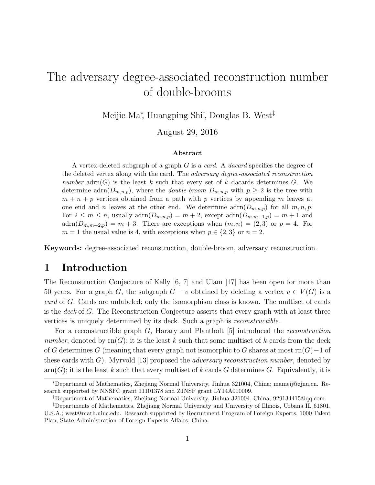# The adversary degree-associated reconstruction number of double-brooms

Meijie Ma<sup>∗</sup> , Huangping Shi† , Douglas B. West‡

August 29, 2016

#### Abstract

A vertex-deleted subgraph of a graph  $G$  is a *card.* A *dacard* specifies the degree of the deleted vertex along with the card. The adversary degree-associated reconstruction number adrn(G) is the least k such that every set of k dacards determines G. We determine adrn $(D_{m,n,p})$ , where the *double-broom*  $D_{m,n,p}$  with  $p \geq 2$  is the tree with  $m + n + p$  vertices obtained from a path with p vertices by appending m leaves at one end and n leaves at the other end. We determine  $\text{adrn}(D_{m,n,p})$  for all  $m, n, p$ . For  $2 \leq m \leq n$ , usually  $\text{adrn}(D_{m,n,p}) = m+2$ , except  $\text{adrn}(D_{m,m+1,p}) = m+1$  and  $adrn(D_{m,m+2,p}) = m+3$ . There are exceptions when  $(m, n) = (2, 3)$  or  $p = 4$ . For  $m = 1$  the usual value is 4, with exceptions when  $p \in \{2, 3\}$  or  $n = 2$ .

Keywords: degree-associated reconstruction, double-broom, adversary reconstruction.

### 1 Introduction

The Reconstruction Conjecture of Kelly [6, 7] and Ulam [17] has been open for more than 50 years. For a graph G, the subgraph  $G - v$  obtained by deleting a vertex  $v \in V(G)$  is a card of G. Cards are unlabeled; only the isomorphism class is known. The multiset of cards is the deck of G. The Reconstruction Conjecture asserts that every graph with at least three vertices is uniquely determined by its deck. Such a graph is reconstructible.

For a reconstructible graph G, Harary and Plantholt [5] introduced the reconstruction number, denoted by  $\text{rn}(G)$ ; it is the least k such that some multiset of k cards from the deck of G determines G (meaning that every graph not isomorphic to G shares at most rn $(G)-1$  of these cards with  $G$ ). Myrvold [13] proposed the *adversary reconstruction number*, denoted by  $arm(G);$  it is the least k such that every multiset of k cards G determines G. Equivalently, it is

<sup>∗</sup>Department of Mathematics, Zhejiang Normal University, Jinhua 321004, China; mameij@zjnu.cn. Research supported by NNSFC grant 11101378 and ZJNSF grant LY14A010009.

<sup>†</sup>Department of Mathematics, Zhejiang Normal University, Jinhua 321004, China; 929134415@qq.com.

<sup>‡</sup>Departments of Mathematics, Zhejiang Normal University and University of Illinois, Urbana IL 61801, U.S.A.; west@math.uiuc.edu. Research supported by Recruitment Program of Foreign Experts, 1000 Talent Plan, State Administration of Foreign Experts Affairs, China.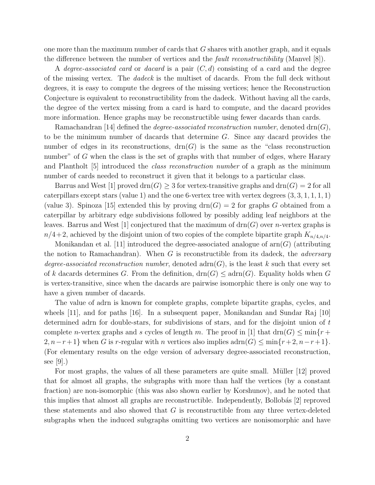one more than the maximum number of cards that  $G$  shares with another graph, and it equals the difference between the number of vertices and the fault reconstructibility (Manvel [8]).

A degree-associated card or dacard is a pair  $(C, d)$  consisting of a card and the degree of the missing vertex. The dadeck is the multiset of dacards. From the full deck without degrees, it is easy to compute the degrees of the missing vertices; hence the Reconstruction Conjecture is equivalent to reconstructibility from the dadeck. Without having all the cards, the degree of the vertex missing from a card is hard to compute, and the dacard provides more information. Hence graphs may be reconstructible using fewer dacards than cards.

Ramachandran [14] defined the *degree-associated reconstruction number*, denoted drn $(G)$ , to be the minimum number of dacards that determine G. Since any dacard provides the number of edges in its reconstructions,  $\text{drn}(G)$  is the same as the "class reconstruction" number" of G when the class is the set of graphs with that number of edges, where Harary and Plantholt [5] introduced the class reconstruction number of a graph as the minimum number of cards needed to reconstruct it given that it belongs to a particular class.

Barrus and West [1] proved  $\text{drn}(G) \geq 3$  for vertex-transitive graphs and  $\text{drn}(G) = 2$  for all caterpillars except stars (value 1) and the one 6-vertex tree with vertex degrees  $(3, 3, 1, 1, 1, 1)$ (value 3). Spinoza [15] extended this by proving  $\text{drn}(G) = 2$  for graphs G obtained from a caterpillar by arbitrary edge subdivisions followed by possibly adding leaf neighbors at the leaves. Barrus and West [1] conjectured that the maximum of  $\text{drn}(G)$  over *n*-vertex graphs is  $n/4+2$ , achieved by the disjoint union of two copies of the complete bipartite graph  $K_{n/4,n/4}$ .

Monikandan et al. [11] introduced the degree-associated analogue of  $arn(G)$  (attributing the notion to Ramachandran). When  $G$  is reconstructible from its dadeck, the *adversary* degree-associated reconstruction number, denoted  $adrn(G)$ , is the least k such that every set of k dacards determines G. From the definition,  $\text{drn}(G) \leq \text{adrn}(G)$ . Equality holds when G is vertex-transitive, since when the dacards are pairwise isomorphic there is only one way to have a given number of dacards.

The value of adrn is known for complete graphs, complete bipartite graphs, cycles, and wheels [11], and for paths [16]. In a subsequent paper, Monikandan and Sundar Raj [10] determined adrn for double-stars, for subdivisions of stars, and for the disjoint union of t complete *n*-vertex graphs and s cycles of length m. The proof in [1] that drn(G)  $\leq$  min{r +  $2, n-r+1$  when G is r-regular with n vertices also implies  $adrn(G) \leq min\{r+2, n-r+1\}$ . (For elementary results on the edge version of adversary degree-associated reconstruction, see  $|9|$ .)

For most graphs, the values of all these parameters are quite small. Müller [12] proved that for almost all graphs, the subgraphs with more than half the vertices (by a constant fraction) are non-isomorphic (this was also shown earlier by Korshunov), and he noted that this implies that almost all graphs are reconstructible. Independently, Bollobás [2] reproved these statements and also showed that  $G$  is reconstructible from any three vertex-deleted subgraphs when the induced subgraphs omitting two vertices are nonisomorphic and have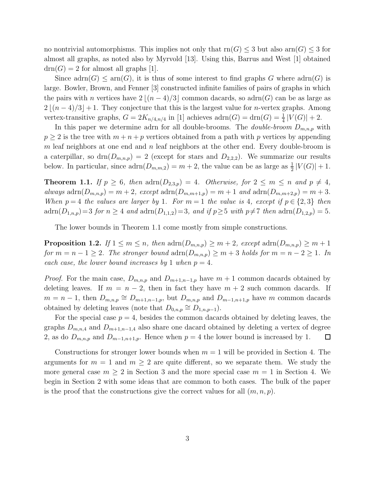no nontrivial automorphisms. This implies not only that  $rn(G) \leq 3$  but also arn $(G) \leq 3$  for almost all graphs, as noted also by Myrvold [13]. Using this, Barrus and West [1] obtained  $drn(G) = 2$  for almost all graphs [1].

Since  $adrn(G) \leq arm(G)$ , it is thus of some interest to find graphs G where  $adrn(G)$  is large. Bowler, Brown, and Fenner [3] constructed infinite families of pairs of graphs in which the pairs with n vertices have  $2 \mid (n-4)/3 \mid$  common dacards, so adrn(G) can be as large as  $2 \mid (n-4)/3 \mid +1$ . They conjecture that this is the largest value for *n*-vertex graphs. Among vertex-transitive graphs,  $G = 2K_{n/4,n/4}$  in [1] achieves  $adrn(G) = \text{drn}(G) = \frac{1}{4} |V(G)| + 2$ .

In this paper we determine adrn for all double-brooms. The *double-broom*  $D_{m,n,p}$  with  $p \geq 2$  is the tree with  $m + n + p$  vertices obtained from a path with p vertices by appending m leaf neighbors at one end and n leaf neighbors at the other end. Every double-broom is a caterpillar, so  $\text{dm}(D_{m,n,p}) = 2$  (except for stars and  $D_{2,2,2}$ ). We summarize our results below. In particular, since  $adrn(D_{m,m,2}) = m + 2$ , the value can be as large as  $\frac{1}{2}|V(G)| + 1$ .

**Theorem 1.1.** If  $p \ge 6$ , then  $\text{adrn}(D_{2,3,p}) = 4$ . Otherwise, for  $2 \le m \le n$  and  $p \ne 4$ , always  $adrn(D_{m,n,p}) = m+2$ , except  $adrn(D_{m,m+1,p}) = m+1$  and  $adrn(D_{m,m+2,p}) = m+3$ . When  $p = 4$  the values are larger by 1. For  $m = 1$  the value is 4, except if  $p \in \{2,3\}$  then  $adrn(D_{1,n,p})=3$  for  $n \geq 4$  and  $adrn(D_{1,1,2})=3$ , and if  $p \geq 5$  with  $p \neq 7$  then  $adrn(D_{1,2,p})=5$ .

The lower bounds in Theorem 1.1 come mostly from simple constructions.

**Proposition 1.2.** If  $1 \leq m \leq n$ , then  $\text{adrn}(D_{m,n,p}) \geq m+2$ , except  $\text{adrn}(D_{m,n,p}) \geq m+1$ for  $m = n - 1 \ge 2$ . The stronger bound  $\text{adrn}(D_{m,n,p}) \ge m + 3$  holds for  $m = n - 2 \ge 1$ . In each case, the lower bound increases by 1 when  $p = 4$ .

*Proof.* For the main case,  $D_{m,n,p}$  and  $D_{m+1,n-1,p}$  have  $m+1$  common dacards obtained by deleting leaves. If  $m = n - 2$ , then in fact they have  $m + 2$  such common dacards. If  $m = n - 1$ , then  $D_{m,n,p} \cong D_{m+1,n-1,p}$ , but  $D_{m,n,p}$  and  $D_{m-1,n+1,p}$  have m common dacards obtained by deleting leaves (note that  $D_{0,n,p} \cong D_{1,n,p-1}$ ).

For the special case  $p = 4$ , besides the common dacards obtained by deleting leaves, the graphs  $D_{m,n,4}$  and  $D_{m+1,n-1,4}$  also share one dacard obtained by deleting a vertex of degree 2, as do  $D_{m,n,p}$  and  $D_{m-1,n+1,p}$ . Hence when  $p = 4$  the lower bound is increased by 1.  $\Box$ 

Constructions for stronger lower bounds when  $m = 1$  will be provided in Section 4. The arguments for  $m = 1$  and  $m \geq 2$  are quite different, so we separate them. We study the more general case  $m \geq 2$  in Section 3 and the more special case  $m = 1$  in Section 4. We begin in Section 2 with some ideas that are common to both cases. The bulk of the paper is the proof that the constructions give the correct values for all  $(m, n, p)$ .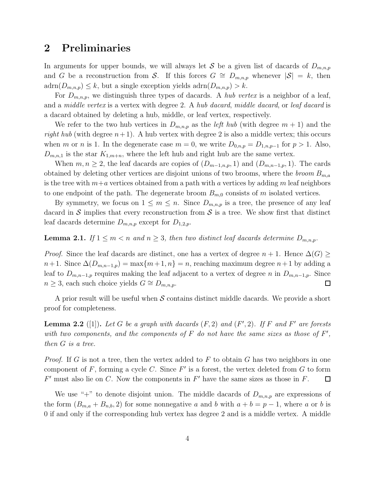## 2 Preliminaries

In arguments for upper bounds, we will always let S be a given list of dacards of  $D_{m,n,p}$ and G be a reconstruction from S. If this forces  $G \cong D_{m,n,p}$  whenever  $|S| = k$ , then  $adrn(D_{m,n,p}) \leq k$ , but a single exception yields  $adrn(D_{m,n,p}) > k$ .

For  $D_{m,n,p}$ , we distinguish three types of dacards. A *hub vertex* is a neighbor of a leaf, and a *middle vertex* is a vertex with degree 2. A hub dacard, middle dacard, or leaf dacard is a dacard obtained by deleting a hub, middle, or leaf vertex, respectively.

We refer to the two hub vertices in  $D_{m,n,p}$  as the *left hub* (with degree  $m+1$ ) and the right hub (with degree  $n+1$ ). A hub vertex with degree 2 is also a middle vertex; this occurs when m or n is 1. In the degenerate case  $m = 0$ , we write  $D_{0,n,p} = D_{1,n,p-1}$  for  $p > 1$ . Also,  $D_{m,n,1}$  is the star  $K_{1,m+n}$ , where the left hub and right hub are the same vertex.

When  $m, n \geq 2$ , the leaf dacards are copies of  $(D_{m-1,n,p}, 1)$  and  $(D_{m,n-1,p}, 1)$ . The cards obtained by deleting other vertices are disjoint unions of two brooms, where the *broom*  $B_{m,a}$ is the tree with  $m+a$  vertices obtained from a path with a vertices by adding m leaf neighbors to one endpoint of the path. The degenerate broom  $B_{m,0}$  consists of m isolated vertices.

By symmetry, we focus on  $1 \leq m \leq n$ . Since  $D_{m,n,p}$  is a tree, the presence of any leaf dacard in S implies that every reconstruction from  $S$  is a tree. We show first that distinct leaf dacards determine  $D_{m,n,p}$  except for  $D_{1,2,p}$ .

#### **Lemma 2.1.** If  $1 \leq m < n$  and  $n \geq 3$ , then two distinct leaf dacards determine  $D_{m,n,p}$ .

*Proof.* Since the leaf dacards are distinct, one has a vertex of degree  $n + 1$ . Hence  $\Delta(G) \ge$  $n+1$ . Since  $\Delta(D_{m,n-1,p}) = \max\{m+1,n\} = n$ , reaching maximum degree  $n+1$  by adding a leaf to  $D_{m,n-1,p}$  requires making the leaf adjacent to a vertex of degree n in  $D_{m,n-1,p}$ . Since  $n \geq 3$ , each such choice yields  $G \cong D_{m,n,p}$ .  $\Box$ 

A prior result will be useful when S contains distinct middle dacards. We provide a short proof for completeness.

**Lemma 2.2** ([1]). Let G be a graph with dacards  $(F, 2)$  and  $(F', 2)$ . If F and F' are forests with two components, and the components of  $F$  do not have the same sizes as those of  $F'$ , then G is a tree.

*Proof.* If G is not a tree, then the vertex added to F to obtain G has two neighbors in one component of  $F$ , forming a cycle  $C$ . Since  $F'$  is a forest, the vertex deleted from  $G$  to form  $F'$  must also lie on C. Now the components in  $F'$  have the same sizes as those in  $F$ .  $\Box$ 

We use "+" to denote disjoint union. The middle dacards of  $D_{m,n,p}$  are expressions of the form  $(B_{m,a} + B_{n,b}, 2)$  for some nonnegative a and b with  $a + b = p - 1$ , where a or b is 0 if and only if the corresponding hub vertex has degree 2 and is a middle vertex. A middle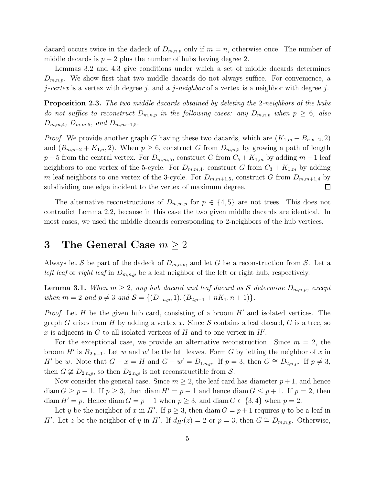dacard occurs twice in the dadeck of  $D_{m,n,p}$  only if  $m = n$ , otherwise once. The number of middle dacards is  $p-2$  plus the number of hubs having degree 2.

Lemmas 3.2 and 4.3 give conditions under which a set of middle dacards determines  $D_{m,n,p}$ . We show first that two middle dacards do not always suffice. For convenience, a j-vertex is a vertex with degree j, and a j-neighbor of a vertex is a neighbor with degree j.

**Proposition 2.3.** The two middle dacards obtained by deleting the 2-neighbors of the hubs do not suffice to reconstruct  $D_{m,n,p}$  in the following cases: any  $D_{m,n,p}$  when  $p \geq 6$ , also  $D_{m,m,4}$ ,  $D_{m,m,5}$ , and  $D_{m,m+1,5}$ .

*Proof.* We provide another graph G having these two dacards, which are  $(K_{1,m} + B_{n,p-2}, 2)$ and  $(B_{m,p-2} + K_{1,n}, 2)$ . When  $p \ge 6$ , construct G from  $D_{m,n,5}$  by growing a path of length  $p-5$  from the central vertex. For  $D_{m,m,5}$ , construct G from  $C_5 + K_{1,m}$  by adding  $m-1$  leaf neighbors to one vertex of the 5-cycle. For  $D_{m,m,4}$ , construct G from  $C_3 + K_{1,m}$  by adding m leaf neighbors to one vertex of the 3-cycle. For  $D_{m,m+1,5}$ , construct G from  $D_{m,m+1,4}$  by subdividing one edge incident to the vertex of maximum degree.  $\Box$ 

The alternative reconstructions of  $D_{m,m,p}$  for  $p \in \{4,5\}$  are not trees. This does not contradict Lemma 2.2, because in this case the two given middle dacards are identical. In most cases, we used the middle dacards corresponding to 2-neighbors of the hub vertices.

## 3 The General Case  $m \geq 2$

Always let S be part of the dadeck of  $D_{m,n,p}$ , and let G be a reconstruction from S. Let a left leaf or right leaf in  $D_{m,n,p}$  be a leaf neighbor of the left or right hub, respectively.

**Lemma 3.1.** When  $m \geq 2$ , any hub dacard and leaf dacard as S determine  $D_{m,n,p}$ , except when  $m = 2$  and  $p \neq 3$  and  $S = \{(D_{1,n,p}, 1), (B_{2,p-1} + nK_1, n+1)\}.$ 

*Proof.* Let H be the given hub card, consisting of a broom  $H'$  and isolated vertices. The graph G arises from H by adding a vertex x. Since S contains a leaf dacard, G is a tree, so x is adjacent in  $G$  to all isolated vertices of  $H$  and to one vertex in  $H'$ .

For the exceptional case, we provide an alternative reconstruction. Since  $m = 2$ , the broom H' is  $B_{2,p-1}$ . Let w and w' be the left leaves. Form G by letting the neighbor of x in H' be w. Note that  $G - x = H$  and  $G - w' = D_{1,n,p}$ . If  $p = 3$ , then  $G \cong D_{2,n,p}$ . If  $p \neq 3$ , then  $G \ncong D_{2,n,p}$ , so then  $D_{2,n,p}$  is not reconstructible from S.

Now consider the general case. Since  $m \geq 2$ , the leaf card has diameter  $p+1$ , and hence  $\dim G \geq p+1$ . If  $p \geq 3$ , then  $\dim H' = p-1$  and hence  $\dim G \leq p+1$ . If  $p=2$ , then diam  $H' = p$ . Hence diam  $G = p + 1$  when  $p \ge 3$ , and diam  $G \in \{3, 4\}$  when  $p = 2$ .

Let y be the neighbor of x in H'. If  $p \geq 3$ , then diam  $G = p + 1$  requires y to be a leaf in H'. Let z be the neighbor of y in H'. If  $d_{H'}(z) = 2$  or  $p = 3$ , then  $G \cong D_{m,n,p}$ . Otherwise,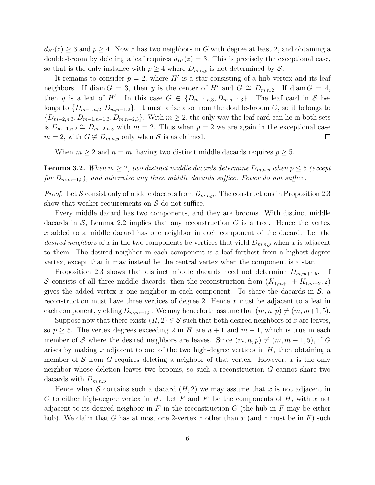$d_{H'}(z) \geq 3$  and  $p \geq 4$ . Now z has two neighbors in G with degree at least 2, and obtaining a double-broom by deleting a leaf requires  $d_{H'}(z) = 3$ . This is precisely the exceptional case, so that is the only instance with  $p \geq 4$  where  $D_{m,n,p}$  is not determined by S.

It remains to consider  $p = 2$ , where H' is a star consisting of a hub vertex and its leaf neighbors. If diam  $G = 3$ , then y is the center of H' and  $G \cong D_{m,n,2}$ . If diam  $G = 4$ , then y is a leaf of H'. In this case  $G \in \{D_{m-1,n,3}, D_{m,n-1,3}\}$ . The leaf card in S belongs to  $\{D_{m-1,n,2}, D_{m,n-1,2}\}\$ . It must arise also from the double-broom G, so it belongs to  ${D_{m-2,n,3}, D_{m-1,n-1,3}, D_{m,n-2,3}}$ . With  $m \geq 2$ , the only way the leaf card can lie in both sets is  $D_{m-1,n,2} \cong D_{m-2,n,3}$  with  $m=2$ . Thus when  $p=2$  we are again in the exceptional case  $m = 2$ , with  $G \not\cong D_{m,n,p}$  only when S is as claimed.  $\Box$ 

When  $m \geq 2$  and  $n = m$ , having two distinct middle dacards requires  $p \geq 5$ .

**Lemma 3.2.** When  $m \geq 2$ , two distinct middle dacards determine  $D_{m,n,p}$  when  $p \leq 5$  (except for  $D_{m,m+1,5}$ , and otherwise any three middle dacards suffice. Fewer do not suffice.

*Proof.* Let S consist only of middle dacards from  $D_{m,n,p}$ . The constructions in Proposition 2.3 show that weaker requirements on  $\mathcal S$  do not suffice.

Every middle dacard has two components, and they are brooms. With distinct middle dacards in  $S$ , Lemma 2.2 implies that any reconstruction  $G$  is a tree. Hence the vertex x added to a middle dacard has one neighbor in each component of the dacard. Let the desired neighbors of x in the two components be vertices that yield  $D_{m,n,p}$  when x is adjacent to them. The desired neighbor in each component is a leaf farthest from a highest-degree vertex, except that it may instead be the central vertex when the component is a star.

Proposition 2.3 shows that distinct middle dacards need not determine  $D_{m,m+1,5}$ . If S consists of all three middle dacards, then the reconstruction from  $(K_{1,m+1} + K_{1,m+2}, 2)$ gives the added vertex x one neighbor in each component. To share the dacards in  $S$ , a reconstruction must have three vertices of degree 2. Hence  $x$  must be adjacent to a leaf in each component, yielding  $D_{m,m+1,5}$ . We may henceforth assume that  $(m, n, p) \neq (m, m+1, 5)$ .

Suppose now that there exists  $(H, 2) \in S$  such that both desired neighbors of x are leaves, so  $p > 5$ . The vertex degrees exceeding 2 in H are  $n + 1$  and  $m + 1$ , which is true in each member of S where the desired neighbors are leaves. Since  $(m, n, p) \neq (m, m + 1, 5)$ , if G arises by making x adjacent to one of the two high-degree vertices in  $H$ , then obtaining a member of S from G requires deleting a neighbor of that vertex. However, x is the only neighbor whose deletion leaves two brooms, so such a reconstruction G cannot share two dacards with  $D_{m,n,p}$ .

Hence when S contains such a dacard  $(H, 2)$  we may assume that x is not adjacent in G to either high-degree vertex in  $H$ . Let  $F$  and  $F'$  be the components of  $H$ , with  $x$  not adjacent to its desired neighbor in F in the reconstruction G (the hub in F may be either hub). We claim that G has at most one 2-vertex z other than x (and z must be in F) such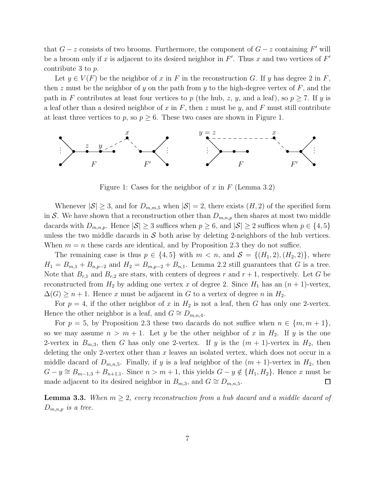that  $G - z$  consists of two brooms. Furthermore, the component of  $G - z$  containing F' will be a broom only if x is adjacent to its desired neighbor in  $F'$ . Thus x and two vertices of  $F'$ contribute 3 to p.

Let  $y \in V(F)$  be the neighbor of x in F in the reconstruction G. If y has degree 2 in F, then z must be the neighbor of y on the path from y to the high-degree vertex of  $F$ , and the path in F contributes at least four vertices to p (the hub, z, y, and a leaf), so  $p \ge 7$ . If y is a leaf other than a desired neighbor of x in F, then z must be y, and F must still contribute at least three vertices to p, so  $p \geq 6$ . These two cases are shown in Figure 1.



Figure 1: Cases for the neighbor of x in  $F$  (Lemma 3.2)

Whenever  $|\mathcal{S}| \geq 3$ , and for  $D_{m,m,5}$  when  $|\mathcal{S}| = 2$ , there exists  $(H, 2)$  of the specified form in S. We have shown that a reconstruction other than  $D_{m,n,p}$  then shares at most two middle dacards with  $D_{m,n,p}$ . Hence  $|\mathcal{S}| \geq 3$  suffices when  $p \geq 6$ , and  $|\mathcal{S}| \geq 2$  suffices when  $p \in \{4, 5\}$ unless the two middle dacards in  $S$  both arise by deleting 2-neighbors of the hub vertices. When  $m = n$  these cards are identical, and by Proposition 2.3 they do not suffice.

The remaining case is thus  $p \in \{4, 5\}$  with  $m < n$ , and  $\mathcal{S} = \{(H_1, 2), (H_2, 2)\}\$ , where  $H_1 = B_{m,1} + B_{n,p-2}$  and  $H_2 = B_{m,p-2} + B_{n,1}$ . Lemma 2.2 still guarantees that G is a tree. Note that  $B_{r,1}$  and  $B_{r,2}$  are stars, with centers of degrees r and  $r+1$ , respectively. Let G be reconstructed from  $H_2$  by adding one vertex x of degree 2. Since  $H_1$  has an  $(n + 1)$ -vertex,  $\Delta(G) \geq n+1$ . Hence x must be adjacent in G to a vertex of degree n in  $H_2$ .

For  $p = 4$ , if the other neighbor of x in  $H_2$  is not a leaf, then G has only one 2-vertex. Hence the other neighbor is a leaf, and  $G \cong D_{m,n,4}$ .

For  $p = 5$ , by Proposition 2.3 these two dacards do not suffice when  $n \in \{m, m + 1\}$ , so we may assume  $n > m + 1$ . Let y be the other neighbor of x in  $H_2$ . If y is the one 2-vertex in  $B_{m,3}$ , then G has only one 2-vertex. If y is the  $(m + 1)$ -vertex in  $H_2$ , then deleting the only 2-vertex other than  $x$  leaves an isolated vertex, which does not occur in a middle dacard of  $D_{m,n,5}$ . Finally, if y is a leaf neighbor of the  $(m + 1)$ -vertex in  $H_2$ , then  $G - y \cong B_{m-1,3} + B_{n+1,1}$ . Since  $n > m+1$ , this yields  $G - y \notin \{H_1, H_2\}$ . Hence x must be made adjacent to its desired neighbor in  $B_{m,3}$ , and  $G \cong D_{m,n,5}$ .  $\Box$ 

**Lemma 3.3.** When  $m \geq 2$ , every reconstruction from a hub dacard and a middle dacard of  $D_{m,n,p}$  is a tree.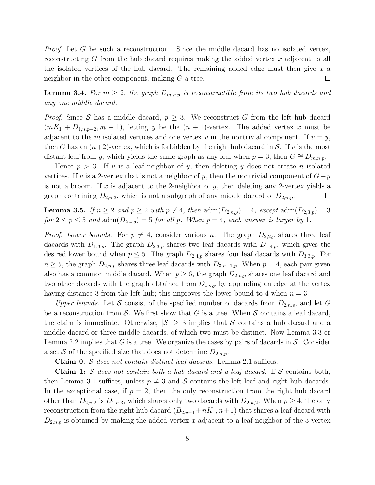*Proof.* Let G be such a reconstruction. Since the middle dacard has no isolated vertex, reconstructing  $G$  from the hub dacard requires making the added vertex  $x$  adjacent to all the isolated vertices of the hub dacard. The remaining added edge must then give  $x$  a neighbor in the other component, making  $G$  a tree. 口

**Lemma 3.4.** For  $m \geq 2$ , the graph  $D_{m,n,p}$  is reconstructible from its two hub dacards and any one middle dacard.

*Proof.* Since S has a middle dacard,  $p \geq 3$ . We reconstruct G from the left hub dacard  $(mK_1 + D_{1,n,p-2}, m + 1)$ , letting y be the  $(n + 1)$ -vertex. The added vertex x must be adjacent to the m isolated vertices and one vertex v in the nontrivial component. If  $v = y$ , then G has an  $(n+2)$ -vertex, which is forbidden by the right hub dacard in S. If v is the most distant leaf from y, which yields the same graph as any leaf when  $p = 3$ , then  $G \cong D_{m,n,p}$ .

Hence  $p > 3$ . If v is a leaf neighbor of y, then deleting y does not create n isolated vertices. If v is a 2-vertex that is not a neighbor of y, then the nontrivial component of  $G-y$ is not a broom. If x is adjacent to the 2-neighbor of y, then deleting any 2-vertex yields a graph containing  $D_{2,n,3}$ , which is not a subgraph of any middle dacard of  $D_{2,n,p}$ .  $\Box$ 

**Lemma 3.5.** If  $n \geq 2$  and  $p \geq 2$  with  $p \neq 4$ , then  $\text{adrn}(D_{2,n,p}) = 4$ , except  $\text{adrn}(D_{2,3,p}) = 3$ for  $2 \le p \le 5$  and  $\text{adrn}(D_{2,4,p}) = 5$  for all p. When  $p = 4$ , each answer is larger by 1.

*Proof. Lower bounds.* For  $p \neq 4$ , consider various n. The graph  $D_{2,2,p}$  shares three leaf dacards with  $D_{1,3,p}$ . The graph  $D_{2,3,p}$  shares two leaf dacards with  $D_{1,4,p}$ , which gives the desired lower bound when  $p \leq 5$ . The graph  $D_{2,4,p}$  shares four leaf dacards with  $D_{3,3,p}$ . For  $n \geq 5$ , the graph  $D_{2,n,p}$  shares three leaf dacards with  $D_{3,n-1,p}$ . When  $p=4$ , each pair given also has a common middle dacard. When  $p \geq 6$ , the graph  $D_{2,n,p}$  shares one leaf dacard and two other dacards with the graph obtained from  $D_{1,n,p}$  by appending an edge at the vertex having distance 3 from the left hub; this improves the lower bound to 4 when  $n = 3$ .

Upper bounds. Let S consist of the specified number of dacards from  $D_{2,n,p}$ , and let G be a reconstruction from  $S$ . We first show that G is a tree. When S contains a leaf dacard, the claim is immediate. Otherwise,  $|\mathcal{S}| \geq 3$  implies that S contains a hub dacard and a middle dacard or three middle dacards, of which two must be distinct. Now Lemma 3.3 or Lemma 2.2 implies that G is a tree. We organize the cases by pairs of dacards in  $\mathcal{S}$ . Consider a set S of the specified size that does not determine  $D_{2,n,p}$ .

**Claim 0:** S does not contain distinct leaf dacards. Lemma 2.1 suffices.

**Claim 1:** S does not contain both a hub dacard and a leaf dacard. If S contains both, then Lemma 3.1 suffices, unless  $p \neq 3$  and S contains the left leaf and right hub dacards. In the exceptional case, if  $p = 2$ , then the only reconstruction from the right hub dacard other than  $D_{2,n,2}$  is  $D_{1,n,3}$ , which shares only two dacards with  $D_{2,n,2}$ . When  $p \geq 4$ , the only reconstruction from the right hub dacard  $(B_{2,p-1}+nK_1, n+1)$  that shares a leaf dacard with  $D_{2,n,p}$  is obtained by making the added vertex x adjacent to a leaf neighbor of the 3-vertex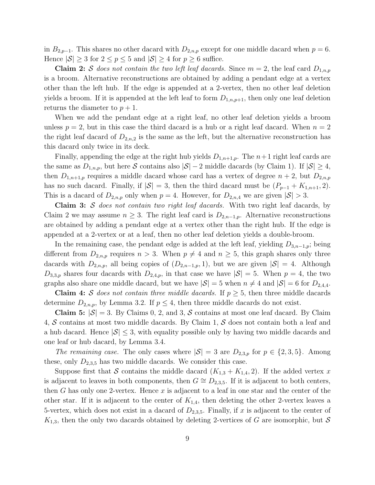in  $B_{2,p-1}$ . This shares no other dacard with  $D_{2,n,p}$  except for one middle dacard when  $p = 6$ . Hence  $|\mathcal{S}| \geq 3$  for  $2 \leq p \leq 5$  and  $|\mathcal{S}| \geq 4$  for  $p \geq 6$  suffice.

**Claim 2:** S does not contain the two left leaf dacards. Since  $m = 2$ , the leaf card  $D_{1,n,p}$ is a broom. Alternative reconstructions are obtained by adding a pendant edge at a vertex other than the left hub. If the edge is appended at a 2-vertex, then no other leaf deletion yields a broom. If it is appended at the left leaf to form  $D_{1,n,p+1}$ , then only one leaf deletion returns the diameter to  $p + 1$ .

When we add the pendant edge at a right leaf, no other leaf deletion yields a broom unless  $p = 2$ , but in this case the third dacard is a hub or a right leaf dacard. When  $n = 2$ the right leaf dacard of  $D_{2,n,2}$  is the same as the left, but the alternative reconstruction has this dacard only twice in its deck.

Finally, appending the edge at the right hub yields  $D_{1,n+1,p}$ . The  $n+1$  right leaf cards are the same as  $D_{1,n,p}$ , but here S contains also  $|\mathcal{S}| - 2$  middle dacards (by Claim 1). If  $|\mathcal{S}| \geq 4$ , then  $D_{1,n+1,p}$  requires a middle dacard whose card has a vertex of degree  $n+2$ , but  $D_{2,n,p}$ has no such dacard. Finally, if  $|S| = 3$ , then the third dacard must be  $(P_{p-1} + K_{1,n+1}, 2)$ . This is a dacard of  $D_{2,n,p}$  only when  $p = 4$ . However, for  $D_{2,n,4}$  we are given  $|\mathcal{S}| > 3$ .

**Claim 3:** S does not contain two right leaf dacards. With two right leaf dacards, by Claim 2 we may assume  $n \geq 3$ . The right leaf card is  $D_{2,n-1,p}$ . Alternative reconstructions are obtained by adding a pendant edge at a vertex other than the right hub. If the edge is appended at a 2-vertex or at a leaf, then no other leaf deletion yields a double-broom.

In the remaining case, the pendant edge is added at the left leaf, yielding  $D_{3,n-1,p}$ ; being different from  $D_{2,n,p}$  requires  $n > 3$ . When  $p \neq 4$  and  $n \geq 5$ , this graph shares only three dacards with  $D_{2,n,p}$ , all being copies of  $(D_{2,n-1,p}, 1)$ , but we are given  $|S| = 4$ . Although  $D_{3,3,p}$  shares four dacards with  $D_{2,4,p}$ , in that case we have  $|\mathcal{S}|=5$ . When  $p=4$ , the two graphs also share one middle dacard, but we have  $|S| = 5$  when  $n \neq 4$  and  $|S| = 6$  for  $D_{2,4,4}$ .

**Claim 4:** S does not contain three middle dacards. If  $p > 5$ , then three middle dacards determine  $D_{2,n,p}$ , by Lemma 3.2. If  $p \leq 4$ , then three middle dacards do not exist.

Claim 5:  $|\mathcal{S}| = 3$ . By Claims 0, 2, and 3, S contains at most one leaf dacard. By Claim 4,  $\mathcal S$  contains at most two middle dacards. By Claim 1,  $\mathcal S$  does not contain both a leaf and a hub dacard. Hence  $|\mathcal{S}| \leq 3$ , with equality possible only by having two middle dacards and one leaf or hub dacard, by Lemma 3.4.

The remaining case. The only cases where  $|\mathcal{S}| = 3$  are  $D_{2,3,p}$  for  $p \in \{2,3,5\}$ . Among these, only  $D_{2,3,5}$  has two middle dacards. We consider this case.

Suppose first that S contains the middle dacard  $(K_{1,3} + K_{1,4}, 2)$ . If the added vertex x is adjacent to leaves in both components, then  $G \cong D_{2,3,5}$ . If it is adjacent to both centers, then G has only one 2-vertex. Hence  $x$  is adjacent to a leaf in one star and the center of the other star. If it is adjacent to the center of  $K_{1,4}$ , then deleting the other 2-vertex leaves a 5-vertex, which does not exist in a dacard of  $D_{2,3,5}$ . Finally, if x is adjacent to the center of  $K_{1,3}$ , then the only two dacards obtained by deleting 2-vertices of G are isomorphic, but S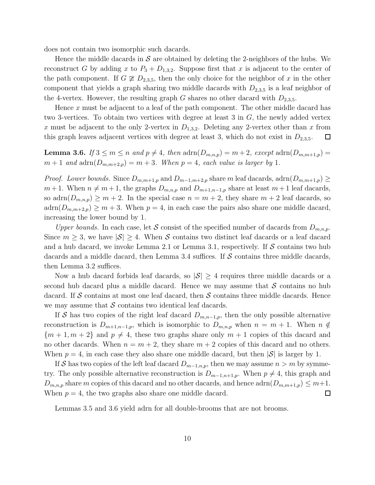does not contain two isomorphic such dacards.

Hence the middle dacards in S are obtained by deleting the 2-neighbors of the hubs. We reconstruct G by adding x to  $P_3 + D_{1,3,2}$ . Suppose first that x is adjacent to the center of the path component. If  $G \not\cong D_{2,3,5}$ , then the only choice for the neighbor of x in the other component that yields a graph sharing two middle dacards with  $D_{2,3,5}$  is a leaf neighbor of the 4-vertex. However, the resulting graph G shares no other dacard with  $D_{2,3,5}$ .

Hence x must be adjacent to a leaf of the path component. The other middle dacard has two 3-vertices. To obtain two vertices with degree at least 3 in  $G$ , the newly added vertex x must be adjacent to the only 2-vertex in  $D_{1,3,2}$ . Deleting any 2-vertex other than x from this graph leaves adjacent vertices with degree at least 3, which do not exist in  $D_{2,3,5}$ .  $\Box$ 

**Lemma 3.6.** If  $3 \leq m \leq n$  and  $p \neq 4$ , then  $\text{adrn}(D_{m,n,p}) = m+2$ , except  $\text{adrn}(D_{m,m+1,p}) =$  $m+1$  and  $\text{adrn}(D_{m,m+2,p}) = m+3$ . When  $p = 4$ , each value is larger by 1.

*Proof.* Lower bounds. Since  $D_{m,m+1,p}$  and  $D_{m-1,m+2,p}$  share m leaf dacards, adrn $(D_{m,m+1,p}) \ge$  $m + 1$ . When  $n \neq m + 1$ , the graphs  $D_{m,n,p}$  and  $D_{m+1,n-1,p}$  share at least  $m + 1$  leaf dacards, so adrn $(D_{m,n,p}) \geq m+2$ . In the special case  $n = m+2$ , they share  $m+2$  leaf dacards, so  $adrn(D_{m,m+2,p}) \geq m+3$ . When  $p=4$ , in each case the pairs also share one middle dacard, increasing the lower bound by 1.

Upper bounds. In each case, let S consist of the specified number of dacards from  $D_{m,n,p}$ . Since  $m \geq 3$ , we have  $|\mathcal{S}| \geq 4$ . When S contains two distinct leaf dacards or a leaf dacard and a hub dacard, we invoke Lemma 2.1 or Lemma 3.1, respectively. If  $\mathcal S$  contains two hub dacards and a middle dacard, then Lemma 3.4 suffices. If  $\mathcal S$  contains three middle dacards, then Lemma 3.2 suffices.

Now a hub dacard forbids leaf dacards, so  $|\mathcal{S}| \geq 4$  requires three middle dacards or a second hub dacard plus a middle dacard. Hence we may assume that  $S$  contains no hub dacard. If S contains at most one leaf dacard, then S contains three middle dacards. Hence we may assume that  $S$  contains two identical leaf dacards.

If S has two copies of the right leaf dacard  $D_{m,n-1,p}$ , then the only possible alternative reconstruction is  $D_{m+1,n-1,p}$ , which is isomorphic to  $D_{m,n,p}$  when  $n = m + 1$ . When  $n \notin$  ${m+1, m+2}$  and  $p \neq 4$ , these two graphs share only  $m+1$  copies of this dacard and no other dacards. When  $n = m + 2$ , they share  $m + 2$  copies of this dacard and no others. When  $p = 4$ , in each case they also share one middle dacard, but then  $|\mathcal{S}|$  is larger by 1.

If S has two copies of the left leaf dacard  $D_{m-1,n,p}$ , then we may assume  $n > m$  by symmetry. The only possible alternative reconstruction is  $D_{m-1,n+1,p}$ . When  $p \neq 4$ , this graph and  $D_{m,n,p}$  share m copies of this dacard and no other dacards, and hence  $\text{adm}(D_{m,m+1,p}) \leq m+1$ . When  $p = 4$ , the two graphs also share one middle dacard.  $\Box$ 

Lemmas 3.5 and 3.6 yield adrn for all double-brooms that are not brooms.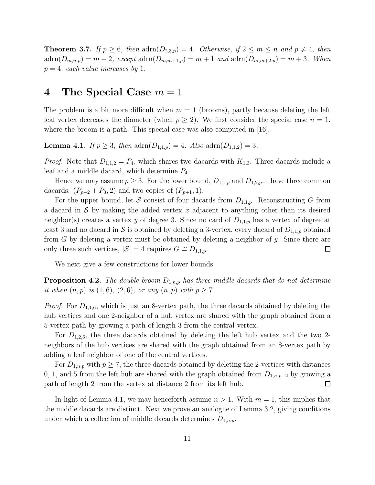**Theorem 3.7.** If  $p \ge 6$ , then  $\text{adrn}(D_{2,3,p}) = 4$ . Otherwise, if  $2 \le m \le n$  and  $p \ne 4$ , then  $adrn(D_{m,n,p}) = m + 2$ , except  $adrn(D_{m,m+1,p}) = m + 1$  and  $adrn(D_{m,m+2,p}) = m + 3$ . When  $p = 4$ , each value increases by 1.

## 4 The Special Case  $m = 1$

The problem is a bit more difficult when  $m = 1$  (brooms), partly because deleting the left leaf vertex decreases the diameter (when  $p \ge 2$ ). We first consider the special case  $n = 1$ , where the broom is a path. This special case was also computed in [16].

**Lemma 4.1.** If  $p \ge 3$ , then  $adrn(D_{1,1,p}) = 4$ . Also  $adrn(D_{1,1,2}) = 3$ .

*Proof.* Note that  $D_{1,1,2} = P_4$ , which shares two dacards with  $K_{1,3}$ . Three dacards include a leaf and a middle dacard, which determine  $P_4$ .

Hence we may assume  $p \geq 3$ . For the lower bound,  $D_{1,1,p}$  and  $D_{1,2,p-1}$  have three common dacards:  $(P_{p-2} + P_3, 2)$  and two copies of  $(P_{p+1}, 1)$ .

For the upper bound, let S consist of four dacards from  $D_{1,1,p}$ . Reconstructing G from a dacard in  $S$  by making the added vertex x adjacent to anything other than its desired neighbor(s) creates a vertex y of degree 3. Since no card of  $D_{1,1,p}$  has a vertex of degree at least 3 and no dacard in S is obtained by deleting a 3-vertex, every dacard of  $D_{1,1,p}$  obtained from  $G$  by deleting a vertex must be obtained by deleting a neighbor of  $y$ . Since there are only three such vertices,  $|S| = 4$  requires  $G \cong D_{1,1,p}$ .  $\Box$ 

We next give a few constructions for lower bounds.

**Proposition 4.2.** The double-broom  $D_{1,n,p}$  has three middle dacards that do not determine it when  $(n, p)$  is  $(1, 6)$ ,  $(2, 6)$ , or any  $(n, p)$  with  $p \ge 7$ .

*Proof.* For  $D_{1,1,6}$ , which is just an 8-vertex path, the three dacards obtained by deleting the hub vertices and one 2-neighbor of a hub vertex are shared with the graph obtained from a 5-vertex path by growing a path of length 3 from the central vertex.

For  $D_{1,2,6}$ , the three dacards obtained by deleting the left hub vertex and the two 2neighbors of the hub vertices are shared with the graph obtained from an 8-vertex path by adding a leaf neighbor of one of the central vertices.

For  $D_{1,n,p}$  with  $p \geq 7$ , the three dacards obtained by deleting the 2-vertices with distances 0, 1, and 5 from the left hub are shared with the graph obtained from  $D_{1,n,p-2}$  by growing a path of length 2 from the vertex at distance 2 from its left hub.  $\Box$ 

In light of Lemma 4.1, we may henceforth assume  $n > 1$ . With  $m = 1$ , this implies that the middle dacards are distinct. Next we prove an analogue of Lemma 3.2, giving conditions under which a collection of middle dacards determines  $D_{1,n,p}$ .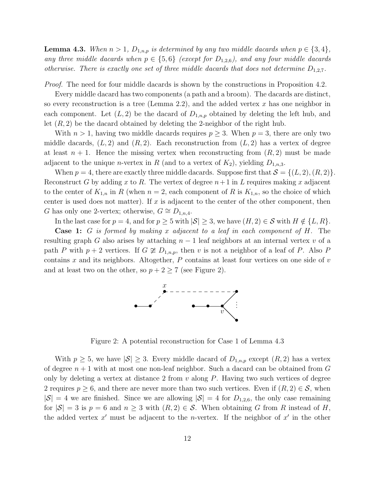**Lemma 4.3.** When  $n > 1$ ,  $D_{1,n,p}$  is determined by any two middle dacards when  $p \in \{3, 4\}$ , any three middle dacards when  $p \in \{5,6\}$  (except for  $D_{1,2,6}$ ), and any four middle dacards otherwise. There is exactly one set of three middle dacards that does not determine  $D_{1,2,7}$ .

Proof. The need for four middle dacards is shown by the constructions in Proposition 4.2.

Every middle dacard has two components (a path and a broom). The dacards are distinct, so every reconstruction is a tree (Lemma 2.2), and the added vertex  $x$  has one neighbor in each component. Let  $(L, 2)$  be the dacard of  $D_{1,n,p}$  obtained by deleting the left hub, and let  $(R, 2)$  be the dacard obtained by deleting the 2-neighbor of the right hub.

With  $n > 1$ , having two middle dacards requires  $p \geq 3$ . When  $p = 3$ , there are only two middle dacards,  $(L, 2)$  and  $(R, 2)$ . Each reconstruction from  $(L, 2)$  has a vertex of degree at least  $n + 1$ . Hence the missing vertex when reconstructing from  $(R, 2)$  must be made adjacent to the unique *n*-vertex in R (and to a vertex of  $K_2$ ), yielding  $D_{1,n,3}$ .

When  $p = 4$ , there are exactly three middle dacards. Suppose first that  $\mathcal{S} = \{(L, 2), (R, 2)\}.$ Reconstruct G by adding x to R. The vertex of degree  $n+1$  in L requires making x adjacent to the center of  $K_{1,n}$  in R (when  $n = 2$ , each component of R is  $K_{1,n}$ , so the choice of which center is used does not matter). If  $x$  is adjacent to the center of the other component, then G has only one 2-vertex; otherwise,  $G \cong D_{1,n,4}$ .

In the last case for  $p = 4$ , and for  $p \ge 5$  with  $|S| \ge 3$ , we have  $(H, 2) \in S$  with  $H \notin \{L, R\}$ .

**Case 1:** G is formed by making x adjacent to a leaf in each component of H. The resulting graph G also arises by attaching  $n-1$  leaf neighbors at an internal vertex v of a path P with  $p + 2$  vertices. If  $G \not\cong D_{1,n,p}$ , then v is not a neighbor of a leaf of P. Also P contains x and its neighbors. Altogether,  $P$  contains at least four vertices on one side of  $v$ and at least two on the other, so  $p + 2 \ge 7$  (see Figure 2).



Figure 2: A potential reconstruction for Case 1 of Lemma 4.3

With  $p \geq 5$ , we have  $|\mathcal{S}| \geq 3$ . Every middle dacard of  $D_{1,n,p}$  except  $(R, 2)$  has a vertex of degree  $n + 1$  with at most one non-leaf neighbor. Such a dacard can be obtained from  $G$ only by deleting a vertex at distance 2 from  $v$  along  $P$ . Having two such vertices of degree 2 requires  $p \geq 6$ , and there are never more than two such vertices. Even if  $(R, 2) \in \mathcal{S}$ , when  $|S| = 4$  we are finished. Since we are allowing  $|S| = 4$  for  $D_{1,2,6}$ , the only case remaining for  $|\mathcal{S}| = 3$  is  $p = 6$  and  $n \geq 3$  with  $(R, 2) \in \mathcal{S}$ . When obtaining G from R instead of H, the added vertex  $x'$  must be adjacent to the *n*-vertex. If the neighbor of  $x'$  in the other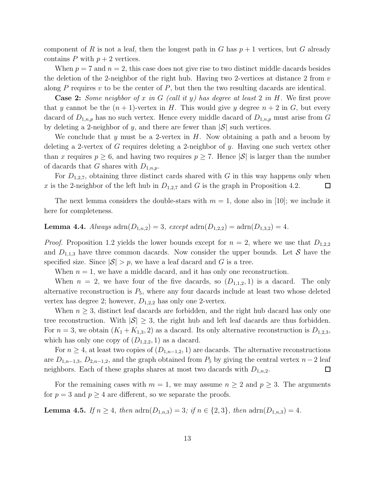component of R is not a leaf, then the longest path in G has  $p + 1$  vertices, but G already contains  $P$  with  $p + 2$  vertices.

When  $p = 7$  and  $n = 2$ , this case does not give rise to two distinct middle dacards besides the deletion of the 2-neighbor of the right hub. Having two 2-vertices at distance 2 from  $v$ along P requires  $v$  to be the center of  $P$ , but then the two resulting dacards are identical.

**Case 2:** Some neighbor of x in G (call it y) has degree at least 2 in H. We first prove that y cannot be the  $(n + 1)$ -vertex in H. This would give y degree  $n + 2$  in G, but every dacard of  $D_{1,n,p}$  has no such vertex. Hence every middle dacard of  $D_{1,n,p}$  must arise from G by deleting a 2-neighbor of y, and there are fewer than  $|\mathcal{S}|$  such vertices.

We conclude that y must be a 2-vertex in  $H$ . Now obtaining a path and a broom by deleting a 2-vertex of G requires deleting a 2-neighbor of y. Having one such vertex other than x requires  $p \geq 6$ , and having two requires  $p \geq 7$ . Hence  $|\mathcal{S}|$  is larger than the number of dacards that G shares with  $D_{1,n,p}$ .

For  $D_{1,2,7}$ , obtaining three distinct cards shared with G in this way happens only when x is the 2-neighbor of the left hub in  $D_{1,2,7}$  and G is the graph in Proposition 4.2.  $\Box$ 

The next lemma considers the double-stars with  $m = 1$ , done also in [10]; we include it here for completeness.

### **Lemma 4.4.** Always  $\text{adrn}(D_{1,n,2}) = 3$ ,  $\text{except } \text{adrn}(D_{1,2,2}) = \text{adrn}(D_{1,3,2}) = 4$ .

*Proof.* Proposition 1.2 yields the lower bounds except for  $n = 2$ , where we use that  $D_{1,2,2}$ and  $D_{1,1,3}$  have three common dacards. Now consider the upper bounds. Let S have the specified size. Since  $|\mathcal{S}| > p$ , we have a leaf dacard and G is a tree.

When  $n = 1$ , we have a middle dacard, and it has only one reconstruction.

When  $n = 2$ , we have four of the five dacards, so  $(D_{1,1,2}, 1)$  is a dacard. The only alternative reconstruction is  $P_5$ , where any four dacards include at least two whose deleted vertex has degree 2; however,  $D_{1,2,2}$  has only one 2-vertex.

When  $n \geq 3$ , distinct leaf dacards are forbidden, and the right hub dacard has only one tree reconstruction. With  $|\mathcal{S}| \geq 3$ , the right hub and left leaf dacards are thus forbidden. For  $n = 3$ , we obtain  $(K_1 + K_{1,3}, 2)$  as a dacard. Its only alternative reconstruction is  $D_{1,2,3}$ , which has only one copy of  $(D_{1,2,2}, 1)$  as a dacard.

For  $n \geq 4$ , at least two copies of  $(D_{1,n-1,2}, 1)$  are dacards. The alternative reconstructions are  $D_{1,n-1,3}$ ,  $D_{2,n-1,2}$ , and the graph obtained from  $P_5$  by giving the central vertex  $n-2$  leaf neighbors. Each of these graphs shares at most two dacards with  $D_{1,n,2}$ .  $\Box$ 

For the remaining cases with  $m = 1$ , we may assume  $n \geq 2$  and  $p \geq 3$ . The arguments for  $p = 3$  and  $p \geq 4$  are different, so we separate the proofs.

**Lemma 4.5.** If  $n \geq 4$ , then  $\text{adrn}(D_{1,n,3}) = 3$ ; if  $n \in \{2,3\}$ , then  $\text{adrn}(D_{1,n,3}) = 4$ .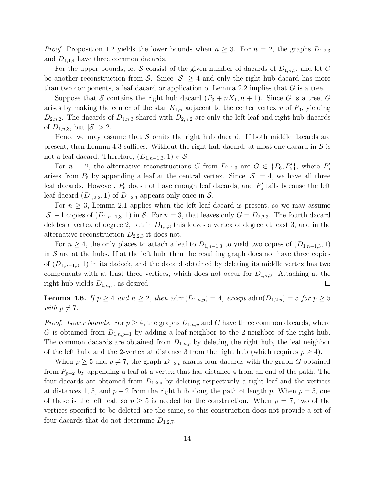*Proof.* Proposition 1.2 yields the lower bounds when  $n \geq 3$ . For  $n = 2$ , the graphs  $D_{1,2,3}$ and  $D_{1,1,4}$  have three common dacards.

For the upper bounds, let S consist of the given number of dacards of  $D_{1,n,3}$ , and let G be another reconstruction from S. Since  $|\mathcal{S}| \geq 4$  and only the right hub dacard has more than two components, a leaf dacard or application of Lemma 2.2 implies that  $G$  is a tree.

Suppose that S contains the right hub dacard  $(P_3 + nK_1, n+1)$ . Since G is a tree, G arises by making the center of the star  $K_{1,n}$  adjacent to the center vertex v of  $P_3$ , yielding  $D_{2,n,2}$ . The dacards of  $D_{1,n,3}$  shared with  $D_{2,n,2}$  are only the left leaf and right hub dacards of  $D_{1,n,3}$ , but  $|S| > 2$ .

Hence we may assume that S omits the right hub dacard. If both middle dacards are present, then Lemma 4.3 suffices. Without the right hub dacard, at most one dacard in  $\mathcal S$  is not a leaf dacard. Therefore,  $(D_{1,n-1,3}, 1) \in \mathcal{S}$ .

For  $n = 2$ , the alternative reconstructions G from  $D_{1,1,3}$  are  $G \in \{P_6, P'_5\}$ , where  $P'_5$ 5 arises from  $P_5$  by appending a leaf at the central vertex. Since  $|\mathcal{S}| = 4$ , we have all three leaf dacards. However,  $P_6$  does not have enough leaf dacards, and  $P'_5$  $\frac{5}{5}$  fails because the left leaf dacard  $(D_{1,2,2}, 1)$  of  $D_{1,2,3}$  appears only once in S.

For  $n \geq 3$ , Lemma 2.1 applies when the left leaf dacard is present, so we may assume  $|S| - 1$  copies of  $(D_{1,n-1,3}, 1)$  in S. For  $n = 3$ , that leaves only  $G = D_{2,2,3}$ . The fourth dacard deletes a vertex of degree 2, but in  $D_{1,3,3}$  this leaves a vertex of degree at least 3, and in the alternative reconstruction  $D_{2,2,3}$  it does not.

For  $n \geq 4$ , the only places to attach a leaf to  $D_{1,n-1,3}$  to yield two copies of  $(D_{1,n-1,3}, 1)$ in  $S$  are at the hubs. If at the left hub, then the resulting graph does not have three copies of  $(D_{1,n-1,3}, 1)$  in its dadeck, and the dacard obtained by deleting its middle vertex has two components with at least three vertices, which does not occur for  $D_{1,n,3}$ . Attaching at the right hub yields  $D_{1,n,3}$ , as desired.  $\Box$ 

**Lemma 4.6.** If  $p \geq 4$  and  $n \geq 2$ , then  $\text{adrn}(D_{1,n,p}) = 4$ , except  $\text{adrn}(D_{1,2,p}) = 5$  for  $p \geq 5$ with  $p \neq 7$ .

*Proof.* Lower bounds. For  $p \geq 4$ , the graphs  $D_{1,n,p}$  and G have three common dacards, where G is obtained from  $D_{1,n,p-1}$  by adding a leaf neighbor to the 2-neighbor of the right hub. The common dacards are obtained from  $D_{1,n,p}$  by deleting the right hub, the leaf neighbor of the left hub, and the 2-vertex at distance 3 from the right hub (which requires  $p \geq 4$ ).

When  $p \geq 5$  and  $p \neq 7$ , the graph  $D_{1,2,p}$  shares four dacards with the graph G obtained from  $P_{p+2}$  by appending a leaf at a vertex that has distance 4 from an end of the path. The four dacards are obtained from  $D_{1,2,p}$  by deleting respectively a right leaf and the vertices at distances 1, 5, and  $p-2$  from the right hub along the path of length p. When  $p=5$ , one of these is the left leaf, so  $p \geq 5$  is needed for the construction. When  $p = 7$ , two of the vertices specified to be deleted are the same, so this construction does not provide a set of four dacards that do not determine  $D_{1,2,7}$ .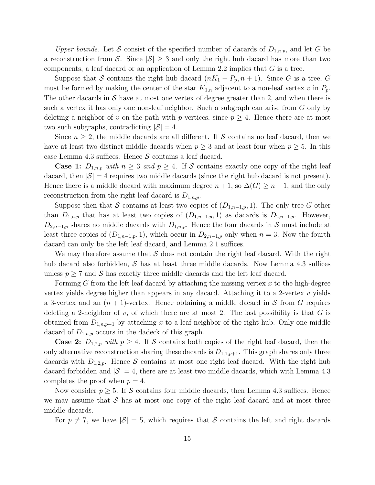Upper bounds. Let S consist of the specified number of dacards of  $D_{1,n,p}$ , and let G be a reconstruction from S. Since  $|S| \geq 3$  and only the right hub dacard has more than two components, a leaf dacard or an application of Lemma 2.2 implies that  $G$  is a tree.

Suppose that S contains the right hub dacard  $(nK_1 + P_p, n+1)$ . Since G is a tree, G must be formed by making the center of the star  $K_{1,n}$  adjacent to a non-leaf vertex v in  $P_p$ . The other dacards in  $S$  have at most one vertex of degree greater than 2, and when there is such a vertex it has only one non-leaf neighbor. Such a subgraph can arise from G only by deleting a neighbor of v on the path with p vertices, since  $p \geq 4$ . Hence there are at most two such subgraphs, contradicting  $|S| = 4$ .

Since  $n \geq 2$ , the middle dacards are all different. If S contains no leaf dacard, then we have at least two distinct middle dacards when  $p \geq 3$  and at least four when  $p \geq 5$ . In this case Lemma 4.3 suffices. Hence  $S$  contains a leaf dacard.

**Case 1:**  $D_{1,n,p}$  with  $n \geq 3$  and  $p \geq 4$ . If S contains exactly one copy of the right leaf dacard, then  $|\mathcal{S}| = 4$  requires two middle dacards (since the right hub dacard is not present). Hence there is a middle dacard with maximum degree  $n + 1$ , so  $\Delta(G) \geq n + 1$ , and the only reconstruction from the right leaf dacard is  $D_{1,n,p}$ .

Suppose then that S contains at least two copies of  $(D_{1,n-1,p}, 1)$ . The only tree G other than  $D_{1,n,p}$  that has at least two copies of  $(D_{1,n-1,p}, 1)$  as dacards is  $D_{2,n-1,p}$ . However,  $D_{2,n-1,p}$  shares no middle dacards with  $D_{1,n,p}$ . Hence the four dacards in S must include at least three copies of  $(D_{1,n-1,p}, 1)$ , which occur in  $D_{2,n-1,p}$  only when  $n = 3$ . Now the fourth dacard can only be the left leaf dacard, and Lemma 2.1 suffices.

We may therefore assume that S does not contain the right leaf dacard. With the right hub dacard also forbidden,  $S$  has at least three middle dacards. Now Lemma 4.3 suffices unless  $p \geq 7$  and S has exactly three middle dacards and the left leaf dacard.

Forming  $G$  from the left leaf dacard by attaching the missing vertex  $x$  to the high-degree vertex yields degree higher than appears in any dacard. Attaching it to a 2-vertex  $v$  yields a 3-vertex and an  $(n + 1)$ -vertex. Hence obtaining a middle dacard in S from G requires deleting a 2-neighbor of v, of which there are at most 2. The last possibility is that  $G$  is obtained from  $D_{1,n,p-1}$  by attaching x to a leaf neighbor of the right hub. Only one middle dacard of  $D_{1,n,p}$  occurs in the dadeck of this graph.

**Case 2:**  $D_{1,2,p}$  with  $p \geq 4$ . If S contains both copies of the right leaf dacard, then the only alternative reconstruction sharing these dacards is  $D_{1,1,p+1}$ . This graph shares only three dacards with  $D_{1,2,p}$ . Hence S contains at most one right leaf dacard. With the right hub dacard forbidden and  $|S| = 4$ , there are at least two middle dacards, which with Lemma 4.3 completes the proof when  $p = 4$ .

Now consider  $p \geq 5$ . If S contains four middle dacards, then Lemma 4.3 suffices. Hence we may assume that  $S$  has at most one copy of the right leaf dacard and at most three middle dacards.

For  $p \neq 7$ , we have  $|\mathcal{S}| = 5$ , which requires that S contains the left and right dacards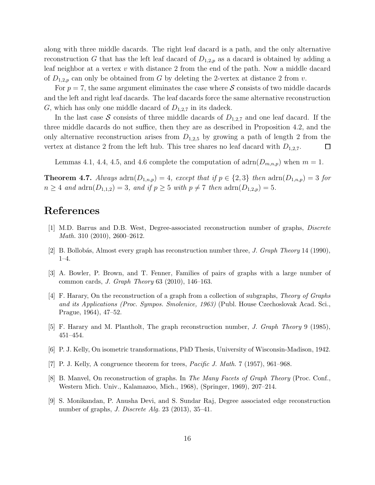along with three middle dacards. The right leaf dacard is a path, and the only alternative reconstruction G that has the left leaf dacard of  $D_{1,2,p}$  as a dacard is obtained by adding a leaf neighbor at a vertex v with distance 2 from the end of the path. Now a middle dacard of  $D_{1,2,p}$  can only be obtained from G by deleting the 2-vertex at distance 2 from v.

For  $p = 7$ , the same argument eliminates the case where S consists of two middle dacards and the left and right leaf dacards. The leaf dacards force the same alternative reconstruction G, which has only one middle dacard of  $D_{1,2,7}$  in its dadeck.

In the last case S consists of three middle dacards of  $D_{1,2,7}$  and one leaf dacard. If the three middle dacards do not suffice, then they are as described in Proposition 4.2, and the only alternative reconstruction arises from  $D_{1,2,5}$  by growing a path of length 2 from the vertex at distance 2 from the left hub. This tree shares no leaf dacard with  $D_{1,2,7}$ .  $\Box$ 

Lemmas 4.1, 4.4, 4.5, and 4.6 complete the computation of  $\text{adrn}(D_{m,n,p})$  when  $m=1$ .

**Theorem 4.7.** Always  $\text{adrn}(D_{1,n,p}) = 4$ , except that if  $p \in \{2,3\}$  then  $\text{adrn}(D_{1,n,p}) = 3$  for  $n \geq 4$  and  $\text{adrn}(D_{1,1,2}) = 3$ , and if  $p \geq 5$  with  $p \neq 7$  then  $\text{adrn}(D_{1,2,p}) = 5$ .

## References

- [1] M.D. Barrus and D.B. West, Degree-associated reconstruction number of graphs, Discrete Math. 310 (2010), 2600–2612.
- [2] B. Bollob´as, Almost every graph has reconstruction number three, J. Graph Theory 14 (1990), 1–4.
- [3] A. Bowler, P. Brown, and T. Fenner, Families of pairs of graphs with a large number of common cards, J. Graph Theory 63 (2010), 146–163.
- [4] F. Harary, On the reconstruction of a graph from a collection of subgraphs, Theory of Graphs and its Applications (Proc. Sympos. Smolenice, 1963) (Publ. House Czechoslovak Acad. Sci., Prague, 1964), 47–52.
- [5] F. Harary and M. Plantholt, The graph reconstruction number, J. Graph Theory 9 (1985), 451–454.
- [6] P. J. Kelly, On isometric transformations, PhD Thesis, University of Wisconsin-Madison, 1942.
- [7] P. J. Kelly, A congruence theorem for trees, Pacific J. Math. 7 (1957), 961–968.
- [8] B. Manvel, On reconstruction of graphs. In The Many Facets of Graph Theory (Proc. Conf., Western Mich. Univ., Kalamazoo, Mich., 1968), (Springer, 1969), 207–214.
- [9] S. Monikandan, P. Anusha Devi, and S. Sundar Raj, Degree associated edge reconstruction number of graphs, J. Discrete Alg. 23 (2013), 35–41.